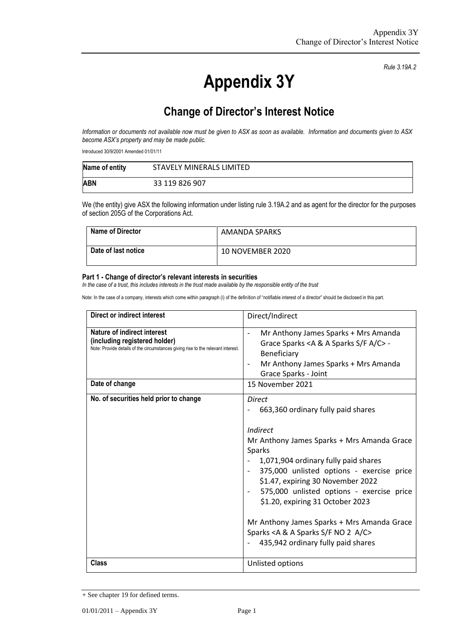**Appendix 3Y**

*Rule 3.19A.2*

## **Change of Director's Interest Notice**

*Information or documents not available now must be given to ASX as soon as available. Information and documents given to ASX become ASX's property and may be made public.*

Introduced 30/9/2001 Amended 01/01/11

| Name of entity | STAVELY MINERALS LIMITED |
|----------------|--------------------------|
| <b>ABN</b>     | 33 119 826 907           |

We (the entity) give ASX the following information under listing rule 3.19A.2 and as agent for the director for the purposes of section 205G of the Corporations Act.

| <b>Name of Director</b> | AMANDA SPARKS    |
|-------------------------|------------------|
| Date of last notice     | 10 NOVEMBER 2020 |

## **Part 1 - Change of director's relevant interests in securities**

*In the case of a trust, this includes interests in the trust made available by the responsible entity of the trust*

Note: In the case of a company, interests which come within paragraph (i) of the definition of "notifiable interest of a director" should be disclosed in this part.

| Direct or indirect interest                                                                                                                      | Direct/Indirect                                                                                                                                                                                                                                                                                                                                                                                                                                               |  |
|--------------------------------------------------------------------------------------------------------------------------------------------------|---------------------------------------------------------------------------------------------------------------------------------------------------------------------------------------------------------------------------------------------------------------------------------------------------------------------------------------------------------------------------------------------------------------------------------------------------------------|--|
| Nature of indirect interest<br>(including registered holder)<br>Note: Provide details of the circumstances giving rise to the relevant interest. | Mr Anthony James Sparks + Mrs Amanda<br>Grace Sparks < A & A Sparks S/F A/C> -<br>Beneficiary<br>Mr Anthony James Sparks + Mrs Amanda<br>Grace Sparks - Joint                                                                                                                                                                                                                                                                                                 |  |
| Date of change                                                                                                                                   | 15 November 2021                                                                                                                                                                                                                                                                                                                                                                                                                                              |  |
| No. of securities held prior to change                                                                                                           | <b>Direct</b><br>663,360 ordinary fully paid shares<br>Indirect<br>Mr Anthony James Sparks + Mrs Amanda Grace<br>Sparks<br>1,071,904 ordinary fully paid shares<br>375,000 unlisted options - exercise price<br>\$1.47, expiring 30 November 2022<br>575,000 unlisted options - exercise price<br>\$1.20, expiring 31 October 2023<br>Mr Anthony James Sparks + Mrs Amanda Grace<br>Sparks < A & A Sparks S/F NO 2 A/C><br>435,942 ordinary fully paid shares |  |
| <b>Class</b>                                                                                                                                     | Unlisted options                                                                                                                                                                                                                                                                                                                                                                                                                                              |  |

<sup>+</sup> See chapter 19 for defined terms.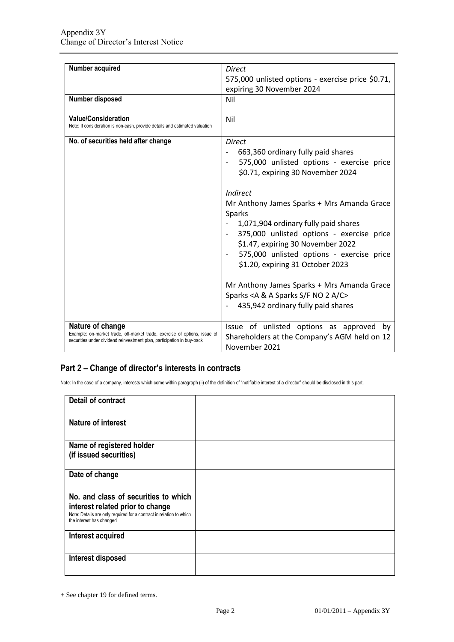| Number acquired                                                                                                                                                         | <b>Direct</b>                                                                                                                                                                                                                                                                      |  |
|-------------------------------------------------------------------------------------------------------------------------------------------------------------------------|------------------------------------------------------------------------------------------------------------------------------------------------------------------------------------------------------------------------------------------------------------------------------------|--|
|                                                                                                                                                                         | 575,000 unlisted options - exercise price \$0.71,                                                                                                                                                                                                                                  |  |
|                                                                                                                                                                         | expiring 30 November 2024                                                                                                                                                                                                                                                          |  |
| Number disposed                                                                                                                                                         | Nil                                                                                                                                                                                                                                                                                |  |
| <b>Value/Consideration</b><br>Note: If consideration is non-cash, provide details and estimated valuation                                                               | Nil                                                                                                                                                                                                                                                                                |  |
| No. of securities held after change                                                                                                                                     | Direct<br>663,360 ordinary fully paid shares<br>575,000 unlisted options - exercise price<br>\$0.71, expiring 30 November 2024                                                                                                                                                     |  |
|                                                                                                                                                                         | Indirect<br>Mr Anthony James Sparks + Mrs Amanda Grace<br><b>Sparks</b><br>1,071,904 ordinary fully paid shares<br>375,000 unlisted options - exercise price<br>\$1.47, expiring 30 November 2022<br>575,000 unlisted options - exercise price<br>\$1.20, expiring 31 October 2023 |  |
|                                                                                                                                                                         | Mr Anthony James Sparks + Mrs Amanda Grace<br>Sparks < A & A Sparks S/F NO 2 A/C><br>435,942 ordinary fully paid shares                                                                                                                                                            |  |
| Nature of change<br>Example: on-market trade, off-market trade, exercise of options, issue of<br>securities under dividend reinvestment plan, participation in buy-back | Issue of unlisted options as approved<br>by<br>Shareholders at the Company's AGM held on 12<br>November 2021                                                                                                                                                                       |  |

## **Part 2 – Change of director's interests in contracts**

Note: In the case of a company, interests which come within paragraph (ii) of the definition of "notifiable interest of a director" should be disclosed in this part.

| <b>Detail of contract</b>                                                                                                                                                   |  |
|-----------------------------------------------------------------------------------------------------------------------------------------------------------------------------|--|
| <b>Nature of interest</b>                                                                                                                                                   |  |
| Name of registered holder<br>(if issued securities)                                                                                                                         |  |
| Date of change                                                                                                                                                              |  |
| No. and class of securities to which<br>interest related prior to change<br>Note: Details are only required for a contract in relation to which<br>the interest has changed |  |
| Interest acquired                                                                                                                                                           |  |
| Interest disposed                                                                                                                                                           |  |

<sup>+</sup> See chapter 19 for defined terms.